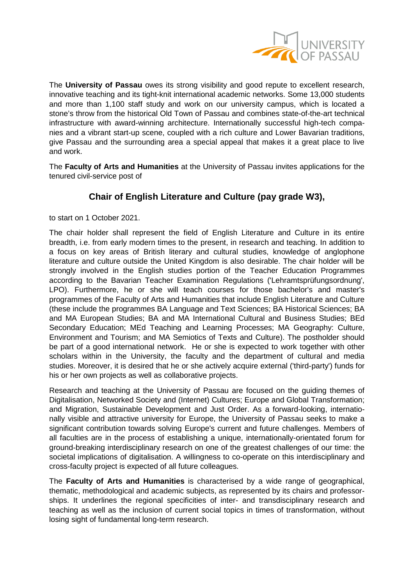

The **University of Passau** owes its strong visibility and good repute to excellent research, innovative teaching and its tight-knit international academic networks. Some 13,000 students and more than 1,100 staff study and work on our university campus, which is located a stone's throw from the historical Old Town of Passau and combines state-of-the-art technical infrastructure with award-winning architecture. Internationally successful high-tech companies and a vibrant start-up scene, coupled with a rich culture and Lower Bavarian traditions, give Passau and the surrounding area a special appeal that makes it a great place to live and work.

The **Faculty of Arts and Humanities** at the University of Passau invites applications for the tenured civil-service post of

## **Chair of English Literature and Culture (pay grade W3),**

to start on 1 October 2021.

The chair holder shall represent the field of English Literature and Culture in its entire breadth, i.e. from early modern times to the present, in research and teaching. In addition to a focus on key areas of British literary and cultural studies, knowledge of anglophone literature and culture outside the United Kingdom is also desirable. The chair holder will be strongly involved in the English studies portion of the Teacher Education Programmes according to the Bavarian Teacher Examination Regulations ('Lehramtsprüfungsordnung', LPO). Furthermore, he or she will teach courses for those bachelor's and master's programmes of the Faculty of Arts and Humanities that include English Literature and Culture (these include the programmes BA Language and Text Sciences; BA Historical Sciences; BA and MA European Studies; BA and MA International Cultural and Business Studies; BEd Secondary Education; MEd Teaching and Learning Processes; MA Geography: Culture, Environment and Tourism; and MA Semiotics of Texts and Culture). The postholder should be part of a good international network. He or she is expected to work together with other scholars within in the University, the faculty and the department of cultural and media studies. Moreover, it is desired that he or she actively acquire external ('third-party') funds for his or her own projects as well as collaborative projects.

Research and teaching at the University of Passau are focused on the guiding themes of Digitalisation, Networked Society and (Internet) Cultures; Europe and Global Transformation; and Migration, Sustainable Development and Just Order. As a forward-looking, internationally visible and attractive university for Europe, the University of Passau seeks to make a significant contribution towards solving Europe's current and future challenges. Members of all faculties are in the process of establishing a unique, internationally-orientated forum for ground-breaking interdisciplinary research on one of the greatest challenges of our time: the societal implications of digitalisation. A willingness to co-operate on this interdisciplinary and cross-faculty project is expected of all future colleagues.

The **Faculty of Arts and Humanities** is characterised by a wide range of geographical, thematic, methodological and academic subjects, as represented by its chairs and professorships. It underlines the regional specificities of inter- and transdisciplinary research and teaching as well as the inclusion of current social topics in times of transformation, without losing sight of fundamental long-term research.